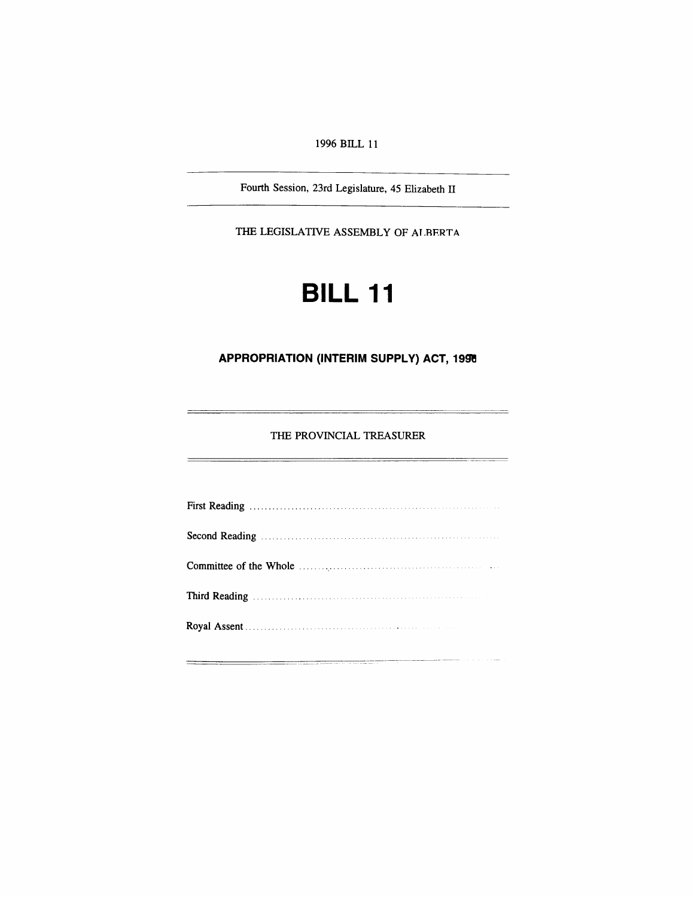*1996 BILL 11*

*Fourth Session, 23rd Legislature, 45 Elizabeth II*

*THE LEGISLATIVE ASSEMBLY OF ALBERTA*

# *BILL 11*

# *APPROPRIATION (INTERIM SUPPLY) ACT, 1996*

*THE PROVINCIAL TREASURER*

--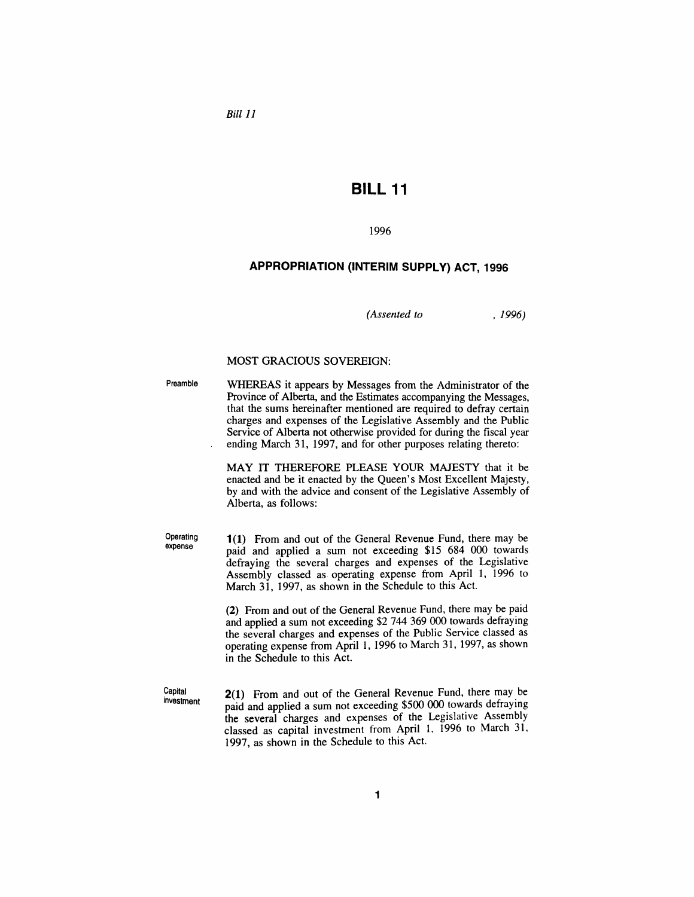*Bill 11*

# *BILL 11*

### *1996*

# *APPROPRIATION (INTERIM SUPPLY) ACT, 1996*

*(Assented to , 1996)*

#### *MOST GRACIOUS SOVEREIGN:*

*Preamble WHEREAS it appears by Messages from the Administrator of the Province of Alberta, and the Estimates accompanying the Messages, that the sums hereinafter mentioned are required to defray certain charges and expenses of the Legislative Assembly and the Public Service of Alberta not otherwise provided for during the fiscal year ending March 31, 1997, and for other purposes relating thereto:*

> *MAY IT THEREFORE PLEASE YOUR MAJESTY that it be enacted and be it enacted by the Queen's Most Excellent Majesty, by and with the advice and consent of the Legislative Assembly of Alberta, as follows:*

*Operating expense*

*1(1) From and out of the General Revenue Fund, there may be paid and applied a sum not exceeding \$15 684 000 towards defraying the several charges and expenses of the Legislative Assembly classed as operating expense from April 1, 1996 to March 31, 1997, as shown in the Schedule to this Act.*

*(2) From and out of the General Revenue Fund, there may be paid and applied a sum not exceeding \$2 744 369 000 towards defraying the several charges and expenses of the Public Service classed as operating expense from April 1, 1996 to March 31, 1997, as shown in the Schedule to this Act.*

*Capital investment*

*2(1) From and out of the General Revenue Fund, there may be paid and applied a sum not exceeding \$500 000 towards defraying the several charges and expenses of the Legislative Assembly classed as capital investment from April 1, 1996 to March 31, 1997, as shown in the Schedule to this Act.*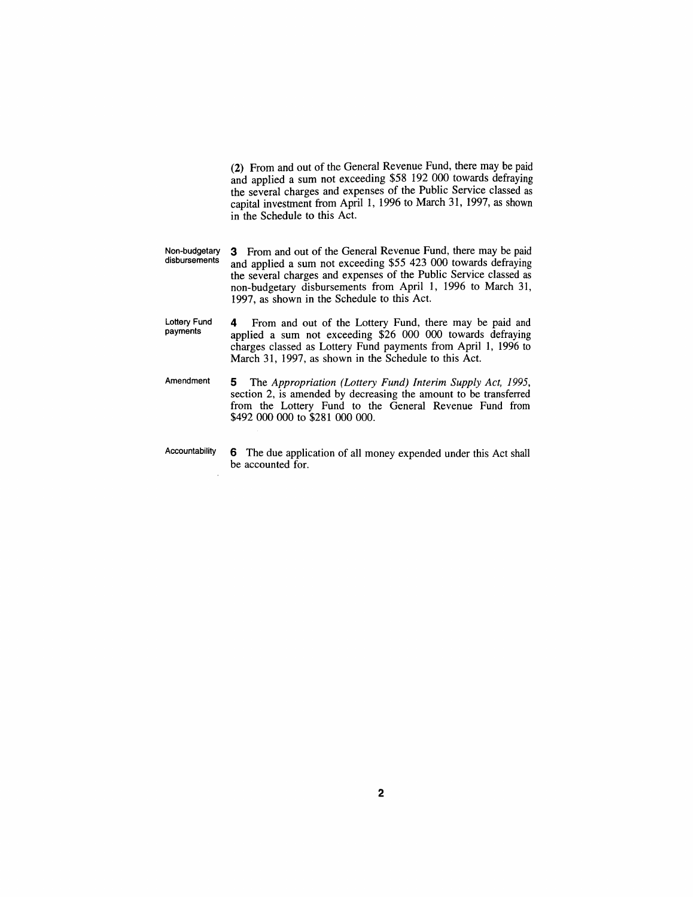*(2) From and out of the General Revenue Fund, there may be paid and applied a sum not exceeding \$58 192 000 towards defraying the several charges and expenses of the Public Service classed as capital investment from April 1, 1996 to March 31, 1997, as shown in the Schedule to this Act.*

- *Non-budgetary disbursements 3 From and out of the General Revenue Fund, there may be paid and applied a sum not exceeding \$55 423 000 towards defraying the several charges and expenses of the Public Service classed as non-budgetary disbursements from April 1, 1996 to March 31, 1997, as shown in the Schedule to this Act.*
- *Lottery Fund payments 4 From and out of the Lottery Fund, there may be paid and applied a sum not exceeding \$26 000 000 towards defraying charges classed as Lottery Fund payments from April 1, 1996 to March 31, 1997, as shown in the Schedule to this Act.*
- *Amendment 5 The Appropriation (Lottery Fund) Interim Supply Act, 1995, section 2, is amended by decreasing the amount to be transferred from the Lottery Fund to the General Revenue Fund from \$492 000 000 to \$281 000 000.*
- *Accountability 6 The due application of all money expended under this Act shall be accounted for.*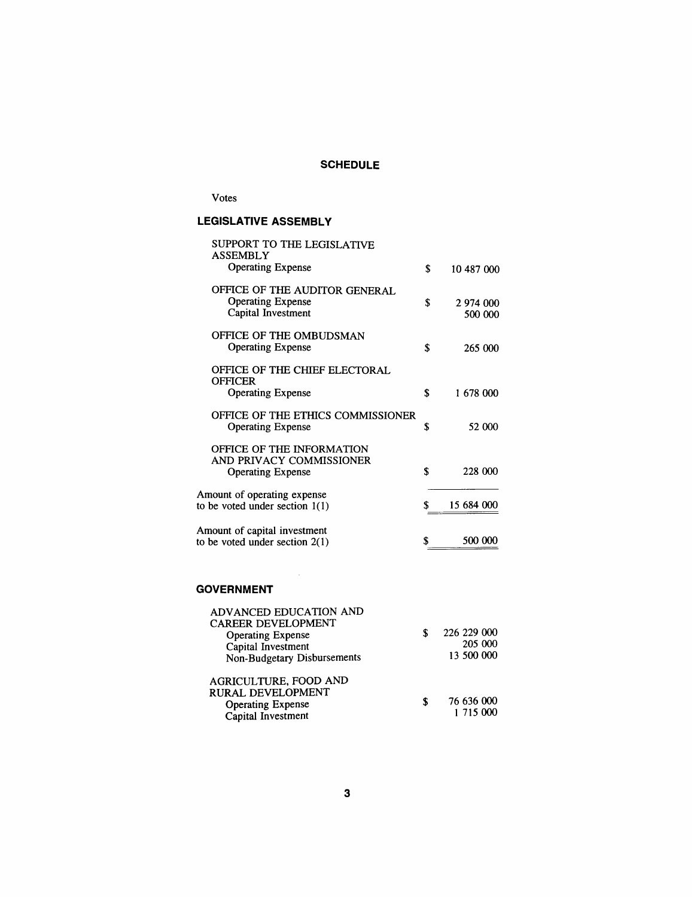# *SCHEDULE*

# *Votes*

# *LEGISLATIVE ASSEMBLY*

| SUPPORT TO THE LEGISLATIVE<br>ASSEMBLY                                            |                            |
|-----------------------------------------------------------------------------------|----------------------------|
| <b>Operating Expense</b>                                                          | \$<br>10 487 000           |
| OFFICE OF THE AUDITOR GENERAL<br><b>Operating Expense</b><br>Capital Investment   | \$<br>2 974 000<br>500 000 |
| OFFICE OF THE OMBUDSMAN<br><b>Operating Expense</b>                               | \$<br>265 000              |
| OFFICE OF THE CHIEF ELECTORAL<br><b>OFFICER</b><br><b>Operating Expense</b>       | \$<br>1 678 000            |
| OFFICE OF THE ETHICS COMMISSIONER<br><b>Operating Expense</b>                     | \$<br>52 000               |
| OFFICE OF THE INFORMATION<br>AND PRIVACY COMMISSIONER<br><b>Operating Expense</b> | \$<br>228 000              |
| Amount of operating expense<br>to be voted under section $1(1)$                   | \$<br>15 684 000           |
| Amount of capital investment<br>to be voted under section 2(1)                    | \$<br>500 000              |
|                                                                                   |                            |

# *GOVERNMENT*

 $\sim$ 

| ADVANCED EDUCATION AND<br><b>CAREER DEVELOPMENT</b><br><b>Operating Expense</b><br>Capital Investment<br><b>Non-Budgetary Disbursements</b> |   | 226 229 000<br>205 000<br>13 500 000 |
|---------------------------------------------------------------------------------------------------------------------------------------------|---|--------------------------------------|
| AGRICULTURE, FOOD AND<br><b>RURAL DEVELOPMENT</b><br><b>Operating Expense</b><br>Capital Investment                                         | S | 76 636 000<br>1 715 000              |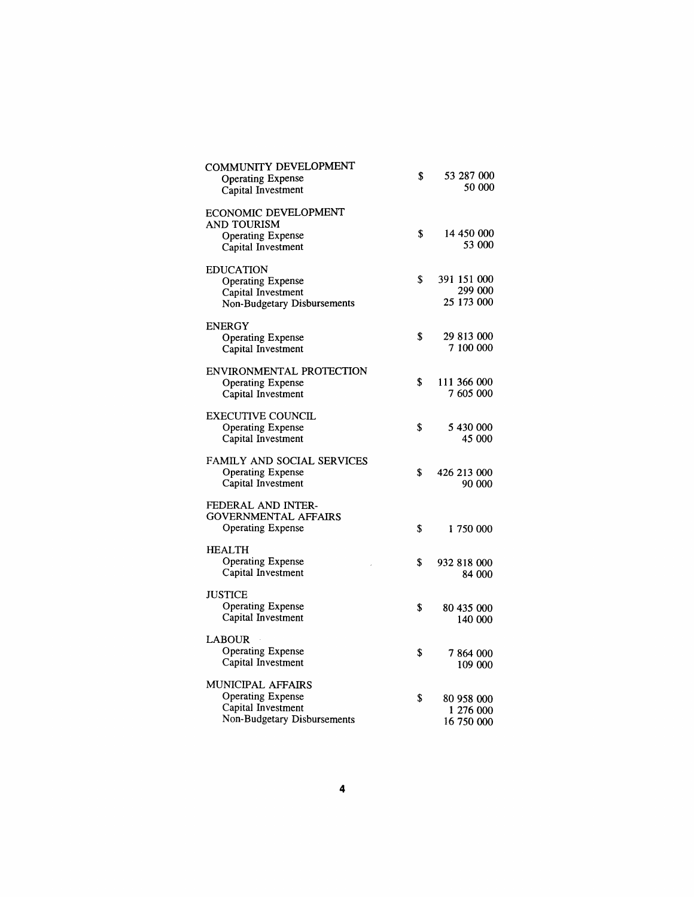| COMMUNITY DEVELOPMENT<br><b>Operating Expense</b><br>Capital Investment                            | \$<br>53 287 000<br>50 000                  |
|----------------------------------------------------------------------------------------------------|---------------------------------------------|
| <b>ECONOMIC DEVELOPMENT</b><br>AND TOURISM<br><b>Operating Expense</b><br>Capital Investment       | \$<br>14 450 000<br>53 000                  |
| <b>EDUCATION</b><br><b>Operating Expense</b><br>Capital Investment<br>Non-Budgetary Disbursements  | \$<br>391 151 000<br>299 000<br>25 173 000  |
| <b>ENERGY</b><br><b>Operating Expense</b><br>Capital Investment                                    | \$<br>29 813 000<br>7 100 000               |
| ENVIRONMENTAL PROTECTION<br><b>Operating Expense</b><br>Capital Investment                         | \$<br>111 366 000<br>7 605 000              |
| <b>EXECUTIVE COUNCIL</b><br><b>Operating Expense</b><br>Capital Investment                         | \$<br>5 430 000<br><b>45 000</b>            |
| FAMILY AND SOCIAL SERVICES<br><b>Operating Expense</b><br>Capital Investment                       | \$<br>426 213 000<br>90 000                 |
| FEDERAL AND INTER-<br>GOVERNMENTAL AFFAIRS<br><b>Operating Expense</b>                             | \$<br>1 750 000                             |
| <b>HEALTH</b><br><b>Operating Expense</b><br>Capital Investment                                    | \$<br>932 818 000<br>84 000                 |
| JUSTICE<br><b>Operating Expense</b><br>Capital Investment                                          | \$<br>80 435 000<br>140 000                 |
| <b>LABOUR</b><br>Operating Expense<br>Capital Investment                                           | \$<br>7864000<br>109 000                    |
| MUNICIPAL AFFAIRS<br><b>Operating Expense</b><br>Capital Investment<br>Non-Budgetary Disbursements | \$<br>80 958 000<br>1 276 000<br>16 750 000 |